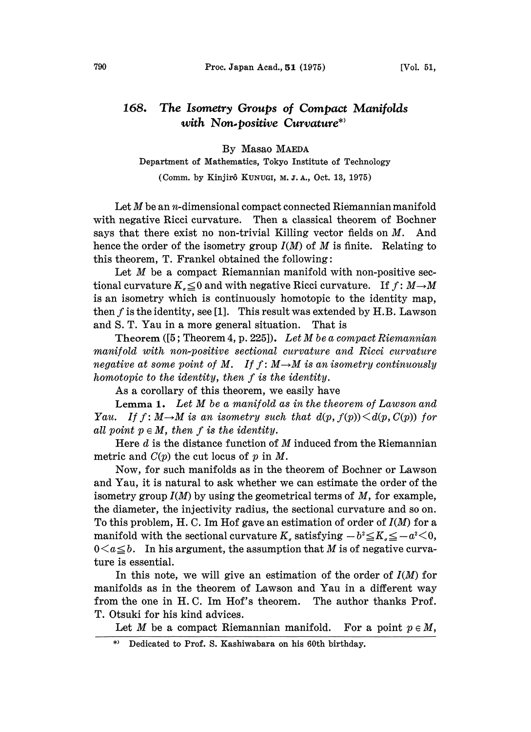## 168. The Isometry Groups of Compact Manifolds with Non-positive Curvature\*)

By Masao MAEDA

Department of Mathematics, Tokyo Institute of Technology

(Comm. by Kinjirô KUNUGI, M. J. A., Oct. 13, 1975)

Let  $M$  be an *n*-dimensional compact connected Riemannian manifold with negative Ricci curvature. Then a classical theorem of Bochner says that there exist no non-trivial Killing vector fields on  $M$ . And hence the order of the isometry group  $I(M)$  of M is finite. Relating to this theorem,  $T$ . Frankel obtained the following:

Let  $M$  be a compact Riemannian manifold with non-positive sectional curvature  $K_{\sigma} \leq 0$  and with negative Ricci curvature. If  $f: M \rightarrow M$ is an isometry which is continuously homotopic to the identity map, then  $f$  is the identity, see [1]. This result was extended by H.B. Lawson and S. T. Yau in a more general situation. That is

Theorem  $([5; Theorem 4, p. 225])$ . Let M be a compact Riemannian manifold with non-positive sectional curvature and Ricci curvature negative at some point of M. If  $f : M \rightarrow M$  is an isometry continuously homotopic to the identity, then f is the identity.

As a corollary of this theorem, we easily have

Lemma 1. Let M be <sup>a</sup> manifold as in the theorem of Lawson and Yau. If  $f: M \rightarrow M$  is an isometry such that  $d(p, f(p)) \leq d(p, C(p))$  for all point  $p \in M$ , then f is the identity.

Here  $d$  is the distance function of  $M$  induced from the Riemannian metric and  $C(p)$  the cut locus of  $p$  in  $M$ .

Now, for such manifolds as in the theorem of Bochner or Lawson and Yau, it is natural to ask whether we can estimate the order of the isometry group  $I(M)$  by using the geometrical terms of  $M$ , for example, the diameter, the injectivity radius, the sectional curvature and so on. To this problem, H. C. Im Hof gave an estimation of order of  $I(M)$  for a manifold with the sectional curvature  $K_s$  satisfying  $-b^2 \le K_s \le -a^2 < 0$ ,  $0 \leq a \leq b$ . In his argument, the assumption that M is of negative curvature is essential.

In this note, we will give an estimation of the order of  $I(M)$  for manifolds as in the theorem of Lawson and Yau in a different way from the one in H.C. Im Hof's theorem. The author thanks Prof. T. Otsuki for his kind advices.

Let M be a compact Riemannian manifold. For a point  $p \in M$ ,

Dedicated to Prof. S. Kashiwabara on his 60th birthday.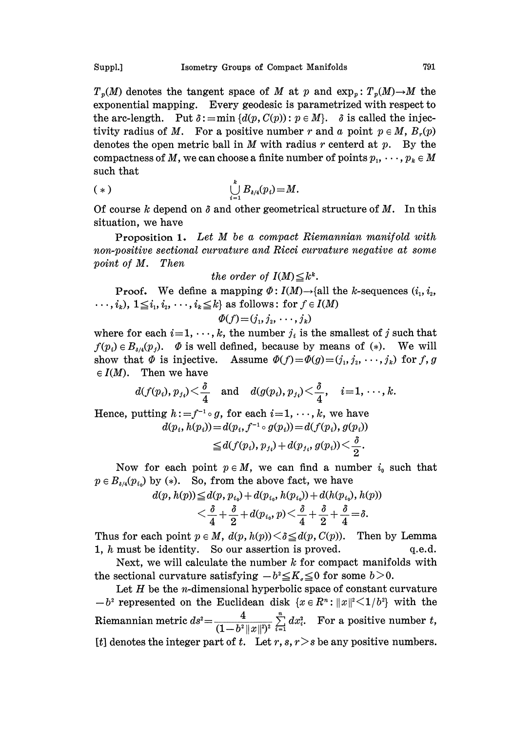$T_p(M)$  denotes the tangent space of M at p and  $\exp_p: T_p(M) \to M$  the exponential mapping. Every geodesic is parametrized with respect to the arc-length. Put  $\delta := \min \{d(p, C(p)) : p \in M\}$ .  $\delta$  is called the injectivity radius of M. For a positive number r and a point  $p \in M$ ,  $B_r(p)$ denotes the open metric ball in  $M$  with radius  $r$  centerd at  $p$ . By the compactness of M, we can choose a finite number of points  $p_1, \dots, p_k \in M$ such that

$$
(*)\qquad \qquad \bigcup_{i=1}^k B_{\delta/4}(p_i)=M.
$$

Of course k depend on  $\delta$  and other geometrical structure of M. In this situation, we have

Proposition 1. Let M be a compact Riemannian manifold with non-positive sectional curvature and Ricci curvature negative at some point of M. Then

the order of 
$$
I(M) \leq k^k
$$
.

**Proof.** We define a mapping  $\Phi: I(M) \rightarrow \{all \text{ the } k\text{-sequences } (i_1, i_2, \dots, i_m)\}$  $\cdots$ ,  $i_k$ ),  $1 \leq i_1, i_2, \cdots, i_k \leq k$  as follows: for  $f \in I(M)$ 

$$
\varPhi(f)\!=\!(j_1,j_2,\,\cdots,j_k)
$$

where for each  $i=1, \dots, k$ , the number  $j_i$  is the smallest of j such that  $f(p_i) \in B_{\delta/4}(p_j)$ .  $\Phi$  is well defined, because by means of (\*). We will show that  $\Phi$  is injective. Assume  $\Phi(f)=\Phi(g)=(j_1,j_2,\cdots,j_k)$  for f, g  $\in I(M)$ . Then we have

$$
d(f(p_i), p_{j_i}) < \frac{\delta}{4}
$$
 and  $d(g(p_i), p_{j_i}) < \frac{\delta}{4}$ ,  $i=1,\dots,k$ .

Hence, putting  $h:=f^{-1} \circ g$ , for each  $i=1, \dots, k$ , we have  $d(p_i, h(p_i)) = d(p_i, f^{-1} \circ g(p_i)) = d(f(p_i), g(p_i))$ 

$$
\leq d(f(p_i), p_{j_i})+d(p_{j_i}, g(p_i)) < \frac{\sigma}{2}.
$$

Now for each point  $p \in M$ , we can find a number  $i_0$  such that  $p \in B_{\delta/4}(p_{i_0})$  by (\*). So, from the above fact, we have

$$
d(p, h(p)) \le d(p, p_{i_0}) + d(p_{i_0}, h(p_{i_0})) + d(h(p_{i_0}), h(p)) < \frac{\delta}{4} + \frac{\delta}{2} + d(p_{i_0}, p) < \frac{\delta}{4} + \frac{\delta}{2} + \frac{\delta}{4} = \delta.
$$

Thus for each point  $p \in M$ ,  $d(p, h(p)) < \delta \leq d(p, C(p))$ . Then by Lemma 1,  $h$  must be identity. So our assertion is proved.  $q.e.d.$ 

Next, we will calculate the number  $k$  for compact manifolds with the sectional curvature satisfying  $-b^2 \leq K_c \leq 0$  for some  $b > 0$ .

Let  $H$  be the *n*-dimensional hyperbolic space of constant curvature  $b^2$  represented on the Euclidean disk  $\{x \in \mathbb{R}^n : ||x||^2 \leq 1/b^2\}$  with the Riemannian metric  $ds^2 = \frac{4}{(1-b^2||x||^2)^2} \sum_{i=1}^n dx_i^2$ . For a positive number t, [t] denotes the integer part of t. Let r, s,  $r > s$  be any positive numbers.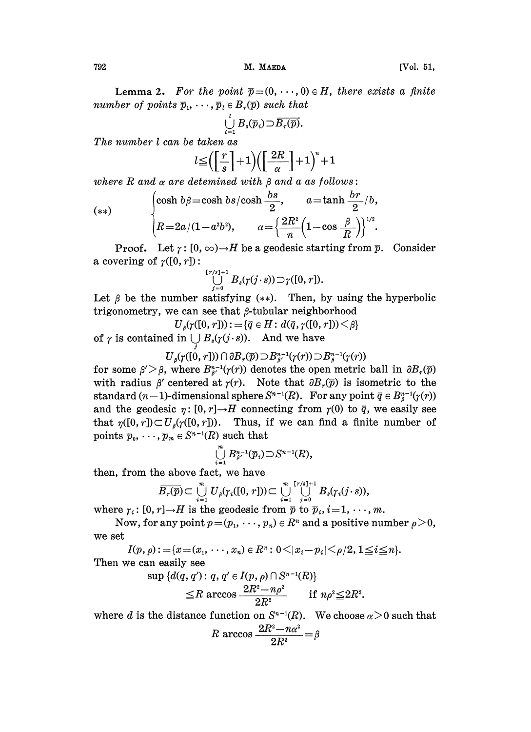792 **M. MAEDA** [Vol. 51,

**Lemma 2.** For the point  $\overline{p} = (0, \dots, 0) \in H$ , there exists a finite number of points  $\overline{p}_1, \cdots, \overline{p}_l \in B_r(\overline{p})$  such that

$$
\bigcup_{i=1}^l B_s(\overline{p}_i) \supset \overline{B_r(\overline{p})}.
$$

The number  $l$  can be taken as

$$
l\!\leq\!\Bigl(\!\Bigl\lfloor\frac{r}{s}\Bigr\rfloor\!+\!1\Bigr)\!\Bigl(\!\Bigl\lfloor\frac{2R}{\alpha}\Bigr\rfloor\!+\!1\Bigr)^*\!+\!1
$$

where R and  $\alpha$  are detemined with  $\beta$  and a as follows:

(\*\*)  
\n
$$
\begin{cases}\n\cosh b\beta = \cosh bs/\cosh \frac{bs}{2}, & a = \tanh \frac{br}{2}/b, \\
R = 2a/(1 - a^2b^2), & \alpha = \left\{\frac{2R^2}{n}\left(1 - \cos \frac{\beta}{R}\right)\right\}^{1/2}.\n\end{cases}
$$

**Proof.** Let  $\gamma$ :  $[0, \infty) \rightarrow H$  be a geodesic starting from  $\overline{p}$ . Consider a covering of  $\gamma([0, r])$ :

$$
\bigcup_{j=0}^{\lceil r/s \rceil+1} B_s(\gamma(j\cdot s)) \supset \gamma([0,r]).
$$

Let  $\beta$  be the number satisfying (\*\*). Then, by using the hyperbolic trigonometry, we can see that  $\beta$ -tubular neighborhood

 $U_{\beta}(\gamma([0, r])) := {\bar{q} \in H : d(\bar{q}, \gamma([0, r])) \leq \beta}$ 

of  $\gamma$  is contained in  $\bigcup B_s(\gamma(j\cdot s))$ . And we have

 $U_{\beta}(\gamma([0, r])) \cap \partial B_{r}(\overline{p}) \supset B^{n-1}_{\beta}(\gamma(r)) \supset B^{n-1}_{\beta}(\gamma(r))$ 

for some  $\beta' > \beta$ , where  $B_{\beta'}^{n-1}(\gamma(r))$  denotes the open metric ball in  $\partial B_r(\overline{p})$ with radius  $\beta'$  centered at  $\gamma(r)$ . Note that  $\partial B_r(\overline{p})$  is isometric to the standard  $(n-1)$ -dimensional sphere  $S^{n-1}(R)$ . For any point  $\bar{q} \in B^{n-1}_{\beta}(\gamma(r))$ and the geodesic  $\eta: [0, r] \to H$  connecting from  $\gamma(0)$  to  $\bar{q}$ , we easily that  $\eta([0, r]) \subset U_{\beta}(\gamma([0, r]))$ . Thus, if we can find a finite number and the geodesic  $\eta: [0, r] \rightarrow H$  connecting from  $\gamma(0)$  to  $\bar{q}$ , we easily see points  $\overline{p}_0, \cdots, \overline{p}_m \in S^{n-1}(R)$  such that

$$
\bigcup_{i=1}^m B^{n-1}_{\beta'}(\overline{p}_i) \supset S^{n-1}(R),
$$

then, from the above fact, we have

$$
\overline{B_r(\overline{p})} \subset \bigcup_{i=1}^m U_{\beta}(\gamma_i([0, r])) \subset \bigcup_{i=1}^m \bigcup_{j=0}^{\lfloor r/s \rfloor+1} B_s(\gamma_i(j \cdot s)),
$$

where  $\gamma_i : [0, r] \to H$  is the geodesic from  $\bar{p}$  to  $\bar{p}_i, i=1,\dots, m$ .

Now, for any point  $p=(p_1, \dots, p_n) \in R^n$  and a positive number  $\rho > 0$ , we set

 $I(p, \rho) := \{x = (x_1, \ldots, x_n) \in R^n : 0 \leq |x_i - p_i| \leq \rho/2, 1 \leq i \leq n\}.$ Then we can easily see

 $\sup \{d(q, q') : q, q' \in I(p, \rho) \cap S^{n-1}(R)\}\$ 

$$
\leq R \arccos \frac{2R^2 - n\rho^2}{2R^2} \quad \text{if } n\rho^2 \leq 2R^2.
$$

where d is the distance function on  $S^{n-1}(R)$ . We choose  $\alpha > 0$  such that

function on 
$$
S^{n-1}(R)
$$
.  
\n $R \arccos \frac{2R^2 - n\alpha^2}{2R^2} = \beta$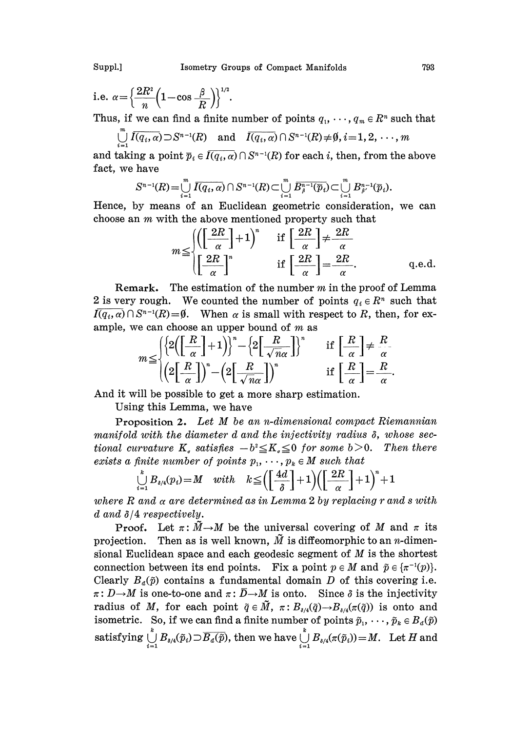Suppl.] Isometry Groups of Compact Manifolds 793

i.e. 
$$
\alpha = \left\{ \frac{2R^2}{n} \left( 1 - \cos \frac{\beta}{R} \right) \right\}^{1/2}
$$

Thus, if we can find a finite number of points  $q_1, \dots, q_m \in \mathbb{R}^n$  such that

$$
\bigcup_{i=1}^{m} \overline{I(q_i, \alpha)} \supset S^{n-1}(R) \quad \text{and} \quad \overline{I(q_i, \alpha)} \cap S^{n-1}(R) \neq \emptyset, i = 1, 2, \cdots, m
$$

and taking a point  $\overline{p}_i \in I(\overline{q_i, \alpha}) \cap S^{n-1}(R)$  for each i, then, from the above fact, we have

$$
S^{n-1}(R) = \bigcup_{i=1}^m \overline{I(q_i,\alpha)} \cap S^{n-1}(R) \subset \bigcup_{i=1}^m \overline{B^{n-1}_{\beta}(\overline{p}_i)} \subset \bigcup_{i=1}^m B^{n-1}_{\beta}(\overline{p}_i).
$$

Hence, by means of an Euclidean geometric consideration, we can choose an m with the above mentioned property such that

$$
m \leq \frac{\left(\left[\frac{2R}{\alpha}\right]+1\right)^n}{\left[\frac{2R}{\alpha}\right]^n} \quad \text{if } \left[\frac{2R}{\alpha}\right] \neq \frac{2R}{\alpha}
$$
\n
$$
\text{if } \left[\frac{2R}{\alpha}\right] = \frac{2R}{\alpha}. \quad \text{q.e.d.}
$$

Remark. The estimation of the number  $m$  in the proof of Lemma 2 is very rough. We counted the number of points  $q_i \in R^n$  such that  $\overline{I(q_i, \alpha)} \cap S^{n-1}(R) = \emptyset$ . When  $\alpha$  is small with respect to R, then, for ex-<br>ample. we can choose an upper bound of m as 2 is very rough. We counted the number of points  $q_i \in R^n$  such that ample, we can choose an upper bound of  $m$  as

$$
m \leq \begin{cases} \left\{2\left(\left[\frac{R}{\alpha}\right]+1\right)\right\}^n - \left\{2\left[\frac{R}{\sqrt{n}\alpha}\right]\right\}^n & \text{if } \left[\frac{R}{\alpha}\right] \neq \frac{R}{\alpha} \\ \left(\left(2\left[\frac{R}{\alpha}\right]\right)^n - \left(\left(2\left[\frac{R}{\sqrt{n}\alpha}\right]\right)^n & \text{if } \left[\frac{R}{\alpha}\right] = \frac{R}{\alpha} \right.\end{cases}
$$

And it will be possible to get a more sharp estimation.

Using this Lemma, we have

Proposition 2. Let M be an n-dimensional compact Riemannian manifold with the diameter  $d$  and the injectivity radius  $\delta,$  whose sec-**The STAR CONSTREY CONSTRESS EXECUTE FREQUESTION 2.** Let  $M$  be an n-almensional compact intermannian<br>manifold with the diameter d and the injectivity radius  $\delta$ , whose sec-<br>tional curvature K, satisfies  $-b^2 \leq K_s \leq 0$  tional curvature  $K_s$  satisfies  $-b^2 \leq K_s \leq 0$  for some  $b > 0$ .<br>exists a finite number of points  $p_1, \dots, p_k \in M$  such that

$$
\bigcup_{i=1}^k B_{\delta/4}(p_i) = M \quad with \quad k \leq \left( \left[ \frac{4d}{\delta} \right] + 1 \right) \left( \left[ \frac{2R}{\alpha} \right] + 1 \right)^n + 1
$$

where R and  $\alpha$  are determined as in Lemma 2 by replacing r and s with d and  $\delta/4$  respectively.

d  $\delta/4$  respectively.<br>Proof. Let  $\pi \colon \widetilde{M} \to M$  be the universal covering of M and  $\pi$  its<br>ection. Then as is well known.  $\widetilde{M}$  is diffeomorphic to an *n*-dimenprojection. Then as is well known,  $\tilde{M}$  is diffeomorphic to an *n*-dimensional Euclidean space and each geodesic segment of  $M$  is the shortest connection between its end points. Fix a point  $p \in M$  and  $\tilde{p} \in {\pi^{-1}(p)}$ . Clearly  $B_d(\tilde{p})$  contains a fundamental domain D of this covering i.e.  $\frac{\pi}{r}$ : early  $B_d(\tilde{p})$  contains a fundamental domain  $D$  of this covering i.e.<br>  $D \rightarrow M$  is one-to-one and  $\pi : \overline{D} \rightarrow M$  is onto. Since  $\delta$  is the injectivity<br>
dius of M for each point  $\tilde{q} \in \widetilde{M}$   $\pi : R$  ( $\tilde{q}$ )  $R$  (radius of M, for each point  $\tilde{q} \in \tilde{M}$ ,  $\pi : B_{s/4}(\tilde{q}) \to B_{s/4}(\pi(\tilde{q}))$  is onto and<br>isometric. So if we can find a finite number of points  $\tilde{\phi}$ ,  $\ldots$ ,  $\tilde{\phi} \in R$  ( $\tilde{\phi}$ ) isometric. So, if we can find a finite number of points  $\tilde{p}_1, \dots, \tilde{p}_k \in B_d(\tilde{p})$  $\text{ satisfying } \bigcup_{i=1}^e B_{\delta/4}(\tilde p_i) \supset \overline{B_d(\tilde p)}, \text{ then we have } \bigcup_{i=1}^e B_{\delta/4}(\pi(\tilde p_i))\!=\!M. \ \ \text{ Let } H \text{ and }$